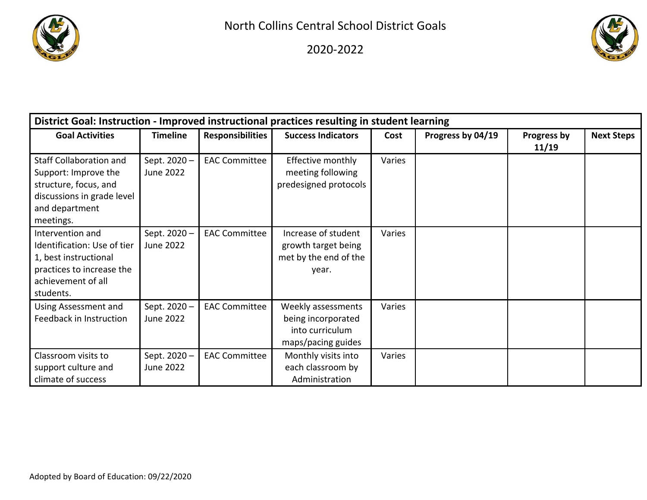

2020‐2022



| District Goal: Instruction - Improved instructional practices resulting in student learning                                                  |                                 |                         |                                                                                   |        |                   |                      |                   |  |  |
|----------------------------------------------------------------------------------------------------------------------------------------------|---------------------------------|-------------------------|-----------------------------------------------------------------------------------|--------|-------------------|----------------------|-------------------|--|--|
| <b>Goal Activities</b>                                                                                                                       | <b>Timeline</b>                 | <b>Responsibilities</b> | <b>Success Indicators</b>                                                         | Cost   | Progress by 04/19 | Progress by<br>11/19 | <b>Next Steps</b> |  |  |
| <b>Staff Collaboration and</b><br>Support: Improve the<br>structure, focus, and<br>discussions in grade level<br>and department<br>meetings. | Sept. 2020-<br><b>June 2022</b> | <b>EAC Committee</b>    | Effective monthly<br>meeting following<br>predesigned protocols                   | Varies |                   |                      |                   |  |  |
| Intervention and<br>Identification: Use of tier<br>1, best instructional<br>practices to increase the<br>achievement of all<br>students.     | Sept. 2020-<br><b>June 2022</b> | <b>EAC Committee</b>    | Increase of student<br>growth target being<br>met by the end of the<br>year.      | Varies |                   |                      |                   |  |  |
| Using Assessment and<br>Feedback in Instruction                                                                                              | Sept. 2020-<br><b>June 2022</b> | <b>EAC Committee</b>    | Weekly assessments<br>being incorporated<br>into curriculum<br>maps/pacing guides | Varies |                   |                      |                   |  |  |
| Classroom visits to<br>support culture and<br>climate of success                                                                             | Sept. 2020-<br>June 2022        | <b>EAC Committee</b>    | Monthly visits into<br>each classroom by<br>Administration                        | Varies |                   |                      |                   |  |  |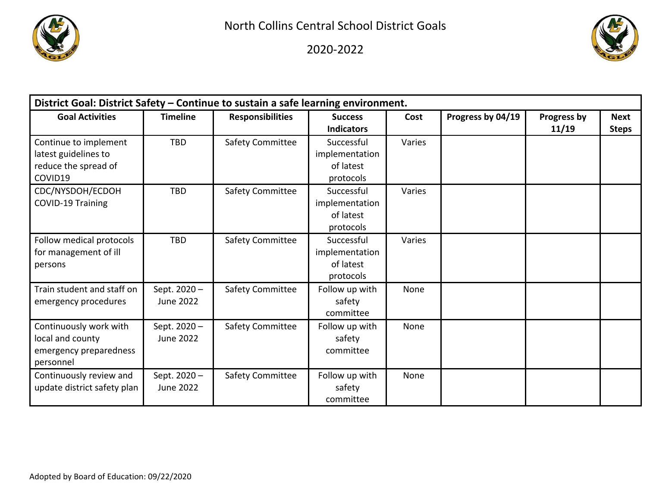

2020‐2022



| District Goal: District Safety - Continue to sustain a safe learning environment. |                                 |                         |                                                        |        |                   |                      |                             |  |  |
|-----------------------------------------------------------------------------------|---------------------------------|-------------------------|--------------------------------------------------------|--------|-------------------|----------------------|-----------------------------|--|--|
| <b>Goal Activities</b>                                                            | <b>Timeline</b>                 | <b>Responsibilities</b> | <b>Success</b><br><b>Indicators</b>                    | Cost   | Progress by 04/19 | Progress by<br>11/19 | <b>Next</b><br><b>Steps</b> |  |  |
| Continue to implement<br>latest guidelines to<br>reduce the spread of<br>COVID19  | <b>TBD</b>                      | Safety Committee        | Successful<br>implementation<br>of latest<br>protocols | Varies |                   |                      |                             |  |  |
| CDC/NYSDOH/ECDOH<br>COVID-19 Training                                             | <b>TBD</b>                      | Safety Committee        | Successful<br>implementation<br>of latest<br>protocols | Varies |                   |                      |                             |  |  |
| Follow medical protocols<br>for management of ill<br>persons                      | <b>TBD</b>                      | Safety Committee        | Successful<br>implementation<br>of latest<br>protocols | Varies |                   |                      |                             |  |  |
| Train student and staff on<br>emergency procedures                                | Sept. 2020-<br>June 2022        | Safety Committee        | Follow up with<br>safety<br>committee                  | None   |                   |                      |                             |  |  |
| Continuously work with<br>local and county<br>emergency preparedness<br>personnel | Sept. 2020-<br><b>June 2022</b> | Safety Committee        | Follow up with<br>safety<br>committee                  | None   |                   |                      |                             |  |  |
| Continuously review and<br>update district safety plan                            | Sept. 2020-<br><b>June 2022</b> | Safety Committee        | Follow up with<br>safety<br>committee                  | None   |                   |                      |                             |  |  |